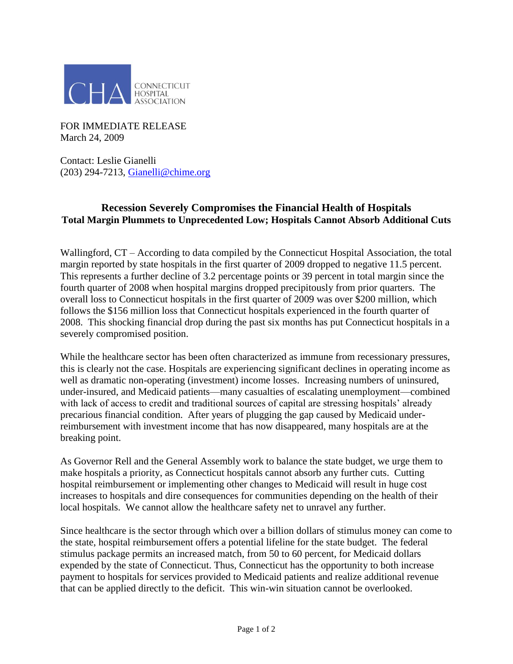

FOR IMMEDIATE RELEASE March 24, 2009

Contact: Leslie Gianelli (203) 294-7213, [Gianelli@chime.org](mailto:Gianelli@chime.org)

## **Recession Severely Compromises the Financial Health of Hospitals Total Margin Plummets to Unprecedented Low; Hospitals Cannot Absorb Additional Cuts**

Wallingford,  $CT$  – According to data compiled by the Connecticut Hospital Association, the total margin reported by state hospitals in the first quarter of 2009 dropped to negative 11.5 percent. This represents a further decline of 3.2 percentage points or 39 percent in total margin since the fourth quarter of 2008 when hospital margins dropped precipitously from prior quarters. The overall loss to Connecticut hospitals in the first quarter of 2009 was over \$200 million, which follows the \$156 million loss that Connecticut hospitals experienced in the fourth quarter of 2008. This shocking financial drop during the past six months has put Connecticut hospitals in a severely compromised position.

While the healthcare sector has been often characterized as immune from recessionary pressures, this is clearly not the case. Hospitals are experiencing significant declines in operating income as well as dramatic non-operating (investment) income losses. Increasing numbers of uninsured, under-insured, and Medicaid patients––many casualties of escalating unemployment––combined with lack of access to credit and traditional sources of capital are stressing hospitals' already precarious financial condition. After years of plugging the gap caused by Medicaid underreimbursement with investment income that has now disappeared, many hospitals are at the breaking point.

As Governor Rell and the General Assembly work to balance the state budget, we urge them to make hospitals a priority, as Connecticut hospitals cannot absorb any further cuts. Cutting hospital reimbursement or implementing other changes to Medicaid will result in huge cost increases to hospitals and dire consequences for communities depending on the health of their local hospitals. We cannot allow the healthcare safety net to unravel any further.

Since healthcare is the sector through which over a billion dollars of stimulus money can come to the state, hospital reimbursement offers a potential lifeline for the state budget. The federal stimulus package permits an increased match, from 50 to 60 percent, for Medicaid dollars expended by the state of Connecticut. Thus, Connecticut has the opportunity to both increase payment to hospitals for services provided to Medicaid patients and realize additional revenue that can be applied directly to the deficit. This win-win situation cannot be overlooked.